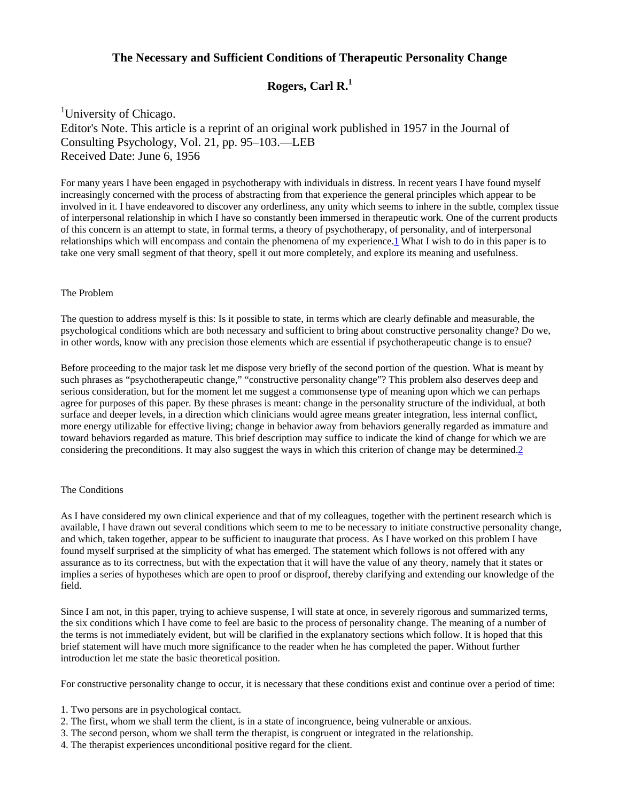# **The Necessary and Sufficient Conditions of Therapeutic Personality Change**

# **Rogers, Carl R.<sup>1</sup>**

# <sup>1</sup>University of Chicago. Editor's Note. This article is a reprint of an original work published in 1957 in the Journal of Consulting Psychology, Vol. 21, pp. 95–103.—LEB Received Date: June 6, 1956

For many years I have been engaged in psychotherapy with individuals in distress. In recent years I have found myself increasingly concerned with the process of abstracting from that experience the general principles which appear to be involved in it. I have endeavored to discover any orderliness, any unity which seems to inhere in the subtle, complex tissue of interpersonal relationship in which I have so constantly been immersed in therapeutic work. One of the current products of this concern is an attempt to state, in formal terms, a theory of psychotherapy, of personality, and of interpersonal relationships which will encompass and contain the phenomena of my experience[.1](http://gateway.ut.ovid.com.offcampus.lib.washington.edu/gw1/ovidweb.cgi#98) What I wish to do in this paper is to take one very small segment of that theory, spell it out more completely, and explore its meaning and usefulness.

#### The Proble[m](http://gateway.ut.ovid.com.offcampus.lib.washington.edu/gw1/ovidweb.cgi)

The question to address myself is this: Is it possible to state, in terms which are clearly definable and measurable, the psychological conditions which are both necessary and sufficient to bring about constructive personality change? Do we, in other words, know with any precision those elements which are essential if psychotherapeutic change is to ensue?

Before proceeding to the major task let me dispose very briefly of the second portion of the question. What is meant by such phrases as "psychotherapeutic change," "constructive personality change"? This problem also deserves deep and serious consideration, but for the moment let me suggest a commonsense type of meaning upon which we can perhaps agree for purposes of this paper. By these phrases is meant: change in the personality structure of the individual, at both surface and deeper levels, in a direction which clinicians would agree means greater integration, less internal conflict, more energy utilizable for effective living; change in behavior away from behaviors generally regarded as immature and toward behaviors regarded as mature. This brief description may suffice to indicate the kind of change for which we are considering the preconditions. It may also suggest the ways in which this criterion of change may be determined.[2](http://gateway.ut.ovid.com.offcampus.lib.washington.edu/gw1/ovidweb.cgi#99)

#### The Condition[s](http://gateway.ut.ovid.com.offcampus.lib.washington.edu/gw1/ovidweb.cgi)

As I have considered my own clinical experience and that of my colleagues, together with the pertinent research which is available, I have drawn out several conditions which seem to me to be necessary to initiate constructive personality change, and which, taken together, appear to be sufficient to inaugurate that process. As I have worked on this problem I have found myself surprised at the simplicity of what has emerged. The statement which follows is not offered with any assurance as to its correctness, but with the expectation that it will have the value of any theory, namely that it states or implies a series of hypotheses which are open to proof or disproof, thereby clarifying and extending our knowledge of the field.

Since I am not, in this paper, trying to achieve suspense, I will state at once, in severely rigorous and summarized terms, the six conditions which I have come to feel are basic to the process of personality change. The meaning of a number of the terms is not immediately evident, but will be clarified in the explanatory sections which follow. It is hoped that this brief statement will have much more significance to the reader when he has completed the paper. Without further introduction let me state the basic theoretical position.

For constructive personality change to occur, it is necessary that these conditions exist and continue over a period of time:

- 1. Two persons are in psychological contact.
- 2. The first, whom we shall term the client, is in a state of incongruence, being vulnerable or anxious.
- 3. The second person, whom we shall term the therapist, is congruent or integrated in the relationship.
- 4. The therapist experiences unconditional positive regard for the client.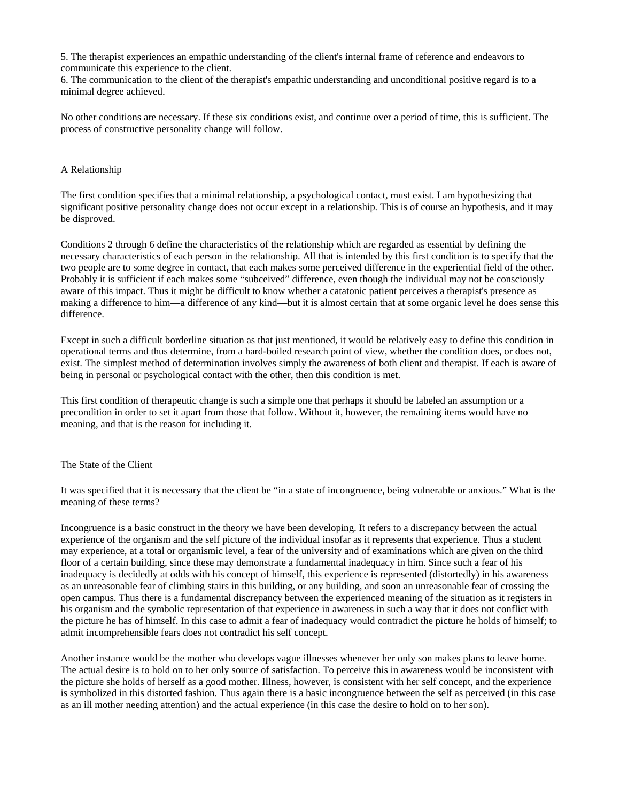5. The therapist experiences an empathic understanding of the client's internal frame of reference and endeavors to communicate this experience to the client.

6. The communication to the client of the therapist's empathic understanding and unconditional positive regard is to a minimal degree achieved.

No other conditions are necessary. If these six conditions exist, and continue over a period of time, this is sufficient. The process of constructive personality change will follow.

#### A Relationshi[p](http://gateway.ut.ovid.com.offcampus.lib.washington.edu/gw1/ovidweb.cgi)

The first condition specifies that a minimal relationship, a psychological contact, must exist. I am hypothesizing that significant positive personality change does not occur except in a relationship. This is of course an hypothesis, and it may be disproved.

Conditions 2 through 6 define the characteristics of the relationship which are regarded as essential by defining the necessary characteristics of each person in the relationship. All that is intended by this first condition is to specify that the two people are to some degree in contact, that each makes some perceived difference in the experiential field of the other. Probably it is sufficient if each makes some "subceived" difference, even though the individual may not be consciously aware of this impact. Thus it might be difficult to know whether a catatonic patient perceives a therapist's presence as making a difference to him—a difference of any kind—but it is almost certain that at some organic level he does sense this difference.

Except in such a difficult borderline situation as that just mentioned, it would be relatively easy to define this condition in operational terms and thus determine, from a hard-boiled research point of view, whether the condition does, or does not, exist. The simplest method of determination involves simply the awareness of both client and therapist. If each is aware of being in personal or psychological contact with the other, then this condition is met.

This first condition of therapeutic change is such a simple one that perhaps it should be labeled an assumption or a precondition in order to set it apart from those that follow. Without it, however, the remaining items would have no meaning, and that is the reason for including it.

#### The State of the Clien[t](http://gateway.ut.ovid.com.offcampus.lib.washington.edu/gw1/ovidweb.cgi)

It was specified that it is necessary that the client be "in a state of incongruence, being vulnerable or anxious." What is the meaning of these terms?

Incongruence is a basic construct in the theory we have been developing. It refers to a discrepancy between the actual experience of the organism and the self picture of the individual insofar as it represents that experience. Thus a student may experience, at a total or organismic level, a fear of the university and of examinations which are given on the third floor of a certain building, since these may demonstrate a fundamental inadequacy in him. Since such a fear of his inadequacy is decidedly at odds with his concept of himself, this experience is represented (distortedly) in his awareness as an unreasonable fear of climbing stairs in this building, or any building, and soon an unreasonable fear of crossing the open campus. Thus there is a fundamental discrepancy between the experienced meaning of the situation as it registers in his organism and the symbolic representation of that experience in awareness in such a way that it does not conflict with the picture he has of himself. In this case to admit a fear of inadequacy would contradict the picture he holds of himself; to admit incomprehensible fears does not contradict his self concept.

Another instance would be the mother who develops vague illnesses whenever her only son makes plans to leave home. The actual desire is to hold on to her only source of satisfaction. To perceive this in awareness would be inconsistent with the picture she holds of herself as a good mother. Illness, however, is consistent with her self concept, and the experience is symbolized in this distorted fashion. Thus again there is a basic incongruence between the self as perceived (in this case as an ill mother needing attention) and the actual experience (in this case the desire to hold on to her son).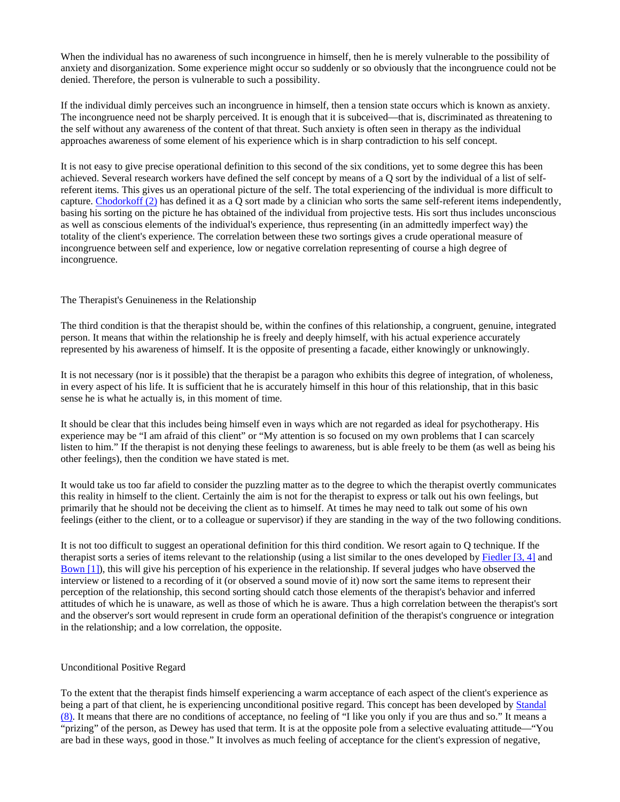When the individual has no awareness of such incongruence in himself, then he is merely vulnerable to the possibility of anxiety and disorganization. Some experience might occur so suddenly or so obviously that the incongruence could not be denied. Therefore, the person is vulnerable to such a possibility.

If the individual dimly perceives such an incongruence in himself, then a tension state occurs which is known as anxiety. The incongruence need not be sharply perceived. It is enough that it is subceived—that is, discriminated as threatening to the self without any awareness of the content of that threat. Such anxiety is often seen in therapy as the individual approaches awareness of some element of his experience which is in sharp contradiction to his self concept.

It is not easy to give precise operational definition to this second of the six conditions, yet to some degree this has been achieved. Several research workers have defined the self concept by means of a Q sort by the individual of a list of selfreferent items. This gives us an operational picture of the self. The total experiencing of the individual is more difficult to capture. [Chodorkoff \(2\)](http://gateway.ut.ovid.com.offcampus.lib.washington.edu/gw1/ovidweb.cgi#91) has defined it as a Q sort made by a clinician who sorts the same self-referent items independently, basing his sorting on the picture he has obtained of the individual from projective tests. His sort thus includes unconscious as well as conscious elements of the individual's experience, thus representing (in an admittedly imperfect way) the totality of the client's experience. The correlation between these two sortings gives a crude operational measure of incongruence between self and experience, low or negative correlation representing of course a high degree of incongruence.

### The Therapist's Genuineness in the Relationshi[p](http://gateway.ut.ovid.com.offcampus.lib.washington.edu/gw1/ovidweb.cgi)

The third condition is that the therapist should be, within the confines of this relationship, a congruent, genuine, integrated person. It means that within the relationship he is freely and deeply himself, with his actual experience accurately represented by his awareness of himself. It is the opposite of presenting a facade, either knowingly or unknowingly.

It is not necessary (nor is it possible) that the therapist be a paragon who exhibits this degree of integration, of wholeness, in every aspect of his life. It is sufficient that he is accurately himself in this hour of this relationship, that in this basic sense he is what he actually is, in this moment of time.

It should be clear that this includes being himself even in ways which are not regarded as ideal for psychotherapy. His experience may be "I am afraid of this client" or "My attention is so focused on my own problems that I can scarcely listen to him." If the therapist is not denying these feelings to awareness, but is able freely to be them (as well as being his other feelings), then the condition we have stated is met.

It would take us too far afield to consider the puzzling matter as to the degree to which the therapist overtly communicates this reality in himself to the client. Certainly the aim is not for the therapist to express or talk out his own feelings, but primarily that he should not be deceiving the client as to himself. At times he may need to talk out some of his own feelings (either to the client, or to a colleague or supervisor) if they are standing in the way of the two following conditions.

It is not too difficult to suggest an operational definition for this third condition. We resort again to Q technique. If the therapist sorts a series of items relevant to the relationship (using a list similar to the ones developed by [Fiedler \[3, 4\]](http://gateway.ut.ovid.com.offcampus.lib.washington.edu/gw1/ovidweb.cgi#92) and [Bown \[1\]](http://gateway.ut.ovid.com.offcampus.lib.washington.edu/gw1/ovidweb.cgi#90)), this will give his perception of his experience in the relationship. If several judges who have observed the interview or listened to a recording of it (or observed a sound movie of it) now sort the same items to represent their perception of the relationship, this second sorting should catch those elements of the therapist's behavior and inferred attitudes of which he is unaware, as well as those of which he is aware. Thus a high correlation between the therapist's sort and the observer's sort would represent in crude form an operational definition of the therapist's congruence or integration in the relationship; and a low correlation, the opposite.

#### Unconditional Positive Regar[d](http://gateway.ut.ovid.com.offcampus.lib.washington.edu/gw1/ovidweb.cgi)

To the extent that the therapist finds himself experiencing a warm acceptance of each aspect of the client's experience as being a part of that client, he is experiencing unconditional positive regard. This concept has been developed by [Standal](http://gateway.ut.ovid.com.offcampus.lib.washington.edu/gw1/ovidweb.cgi#97)  [\(8\).](http://gateway.ut.ovid.com.offcampus.lib.washington.edu/gw1/ovidweb.cgi#97) It means that there are no conditions of acceptance, no feeling of "I like you only if you are thus and so." It means a "prizing" of the person, as Dewey has used that term. It is at the opposite pole from a selective evaluating attitude—"You are bad in these ways, good in those." It involves as much feeling of acceptance for the client's expression of negative,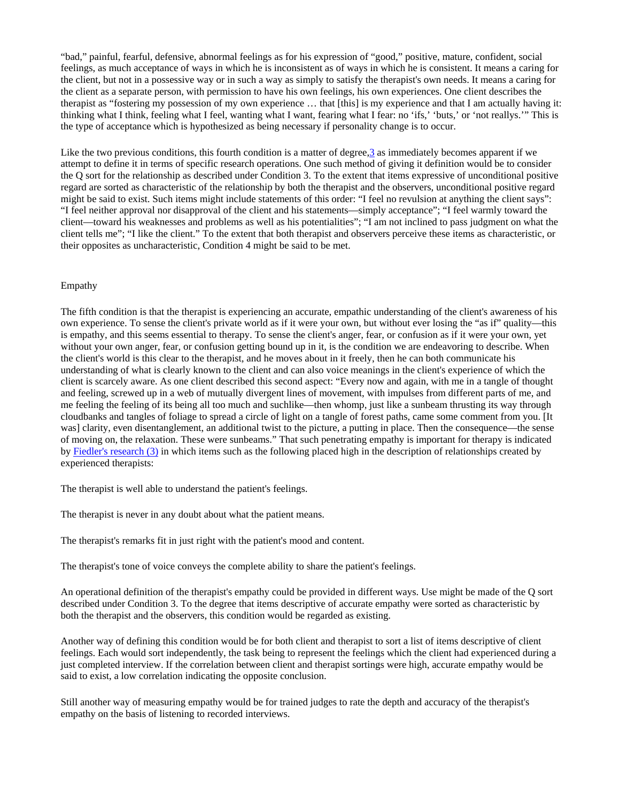"bad," painful, fearful, defensive, abnormal feelings as for his expression of "good," positive, mature, confident, social feelings, as much acceptance of ways in which he is inconsistent as of ways in which he is consistent. It means a caring for the client, but not in a possessive way or in such a way as simply to satisfy the therapist's own needs. It means a caring for the client as a separate person, with permission to have his own feelings, his own experiences. One client describes the therapist as "fostering my possession of my own experience … that [this] is my experience and that I am actually having it: thinking what I think, feeling what I feel, wanting what I want, fearing what I fear: no 'ifs,' 'buts,' or 'not reallys.'" This is the type of acceptance which is hypothesized as being necessary if personality change is to occur.

Like the two previous conditions, this fourth condition is a matter of degree, 3 as immediately becomes apparent if we attempt to define it in terms of specific research operations. One such method of giving it definition would be to consider the Q sort for the relationship as described under Condition 3. To the extent that items expressive of unconditional positive regard are sorted as characteristic of the relationship by both the therapist and the observers, unconditional positive regard might be said to exist. Such items might include statements of this order: "I feel no revulsion at anything the client says": "I feel neither approval nor disapproval of the client and his statements—simply acceptance"; "I feel warmly toward the client—toward his weaknesses and problems as well as his potentialities"; "I am not inclined to pass judgment on what the client tells me"; "I like the client." To the extent that both therapist and observers perceive these items as characteristic, or their opposites as uncharacteristic, Condition 4 might be said to be met.

#### Empath[y](http://gateway.ut.ovid.com.offcampus.lib.washington.edu/gw1/ovidweb.cgi)

The fifth condition is that the therapist is experiencing an accurate, empathic understanding of the client's awareness of his own experience. To sense the client's private world as if it were your own, but without ever losing the "as if" quality—this is empathy, and this seems essential to therapy. To sense the client's anger, fear, or confusion as if it were your own, yet without your own anger, fear, or confusion getting bound up in it, is the condition we are endeavoring to describe. When the client's world is this clear to the therapist, and he moves about in it freely, then he can both communicate his understanding of what is clearly known to the client and can also voice meanings in the client's experience of which the client is scarcely aware. As one client described this second aspect: "Every now and again, with me in a tangle of thought and feeling, screwed up in a web of mutually divergent lines of movement, with impulses from different parts of me, and me feeling the feeling of its being all too much and suchlike—then whomp, just like a sunbeam thrusting its way through cloudbanks and tangles of foliage to spread a circle of light on a tangle of forest paths, came some comment from you. [It was] clarity, even disentanglement, an additional twist to the picture, a putting in place. Then the consequence—the sense of moving on, the relaxation. These were sunbeams." That such penetrating empathy is important for therapy is indicated by [Fiedler's research \(3\)](http://gateway.ut.ovid.com.offcampus.lib.washington.edu/gw1/ovidweb.cgi#92) in which items such as the following placed high in the description of relationships created by experienced therapists:

The therapist is well able to understand the patient's feelings.

The therapist is never in any doubt about what the patient means.

The therapist's remarks fit in just right with the patient's mood and content.

The therapist's tone of voice conveys the complete ability to share the patient's feelings.

An operational definition of the therapist's empathy could be provided in different ways. Use might be made of the Q sort described under Condition 3. To the degree that items descriptive of accurate empathy were sorted as characteristic by both the therapist and the observers, this condition would be regarded as existing.

Another way of defining this condition would be for both client and therapist to sort a list of items descriptive of client feelings. Each would sort independently, the task being to represent the feelings which the client had experienced during a just completed interview. If the correlation between client and therapist sortings were high, accurate empathy would be said to exist, a low correlation indicating the opposite conclusion.

Still another way of measuring empathy would be for trained judges to rate the depth and accuracy of the therapist's empathy on the basis of listening to recorded interviews.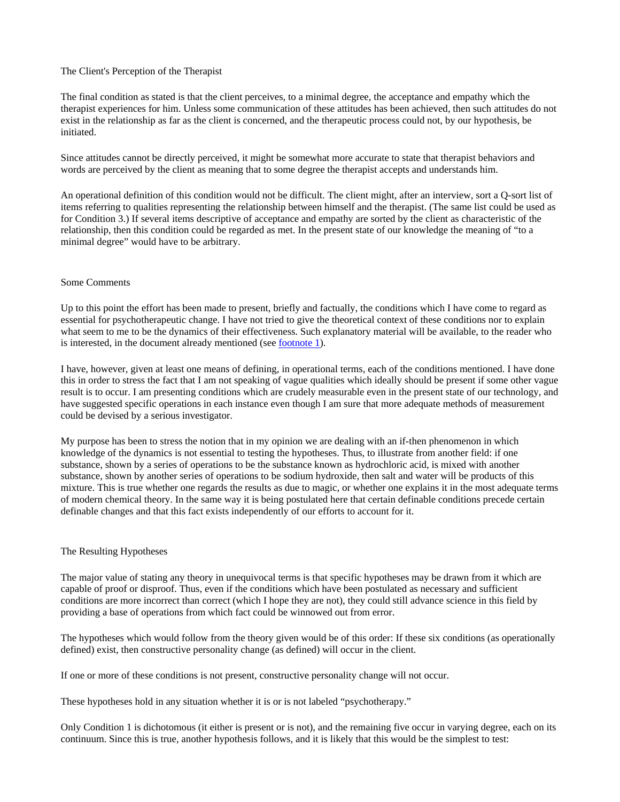#### The Client's Perception of the Therapi[st](http://gateway.ut.ovid.com.offcampus.lib.washington.edu/gw1/ovidweb.cgi)

The final condition as stated is that the client perceives, to a minimal degree, the acceptance and empathy which the therapist experiences for him. Unless some communication of these attitudes has been achieved, then such attitudes do not exist in the relationship as far as the client is concerned, and the therapeutic process could not, by our hypothesis, be initiated.

Since attitudes cannot be directly perceived, it might be somewhat more accurate to state that therapist behaviors and words are perceived by the client as meaning that to some degree the therapist accepts and understands him.

An operational definition of this condition would not be difficult. The client might, after an interview, sort a Q-sort list of items referring to qualities representing the relationship between himself and the therapist. (The same list could be used as for Condition 3.) If several items descriptive of acceptance and empathy are sorted by the client as characteristic of the relationship, then this condition could be regarded as met. In the present state of our knowledge the meaning of "to a minimal degree" would have to be arbitrary.

#### Some Comment[s](http://gateway.ut.ovid.com.offcampus.lib.washington.edu/gw1/ovidweb.cgi)

Up to this point the effort has been made to present, briefly and factually, the conditions which I have come to regard as essential for psychotherapeutic change. I have not tried to give the theoretical context of these conditions nor to explain what seem to me to be the dynamics of their effectiveness. Such explanatory material will be available, to the reader who is interested, in the document already mentioned (see [footnote 1](http://gateway.ut.ovid.com.offcampus.lib.washington.edu/gw1/ovidweb.cgi#98)).

I have, however, given at least one means of defining, in operational terms, each of the conditions mentioned. I have done this in order to stress the fact that I am not speaking of vague qualities which ideally should be present if some other vague result is to occur. I am presenting conditions which are crudely measurable even in the present state of our technology, and have suggested specific operations in each instance even though I am sure that more adequate methods of measurement could be devised by a serious investigator.

My purpose has been to stress the notion that in my opinion we are dealing with an if-then phenomenon in which knowledge of the dynamics is not essential to testing the hypotheses. Thus, to illustrate from another field: if one substance, shown by a series of operations to be the substance known as hydrochloric acid, is mixed with another substance, shown by another series of operations to be sodium hydroxide, then salt and water will be products of this mixture. This is true whether one regards the results as due to magic, or whether one explains it in the most adequate terms of modern chemical theory. In the same way it is being postulated here that certain definable conditions precede certain definable changes and that this fact exists independently of our efforts to account for it.

## The Resulting Hypothese[s](http://gateway.ut.ovid.com.offcampus.lib.washington.edu/gw1/ovidweb.cgi)

The major value of stating any theory in unequivocal terms is that specific hypotheses may be drawn from it which are capable of proof or disproof. Thus, even if the conditions which have been postulated as necessary and sufficient conditions are more incorrect than correct (which I hope they are not), they could still advance science in this field by providing a base of operations from which fact could be winnowed out from error.

The hypotheses which would follow from the theory given would be of this order: If these six conditions (as operationally defined) exist, then constructive personality change (as defined) will occur in the client.

If one or more of these conditions is not present, constructive personality change will not occur.

These hypotheses hold in any situation whether it is or is not labeled "psychotherapy."

Only Condition 1 is dichotomous (it either is present or is not), and the remaining five occur in varying degree, each on its continuum. Since this is true, another hypothesis follows, and it is likely that this would be the simplest to test: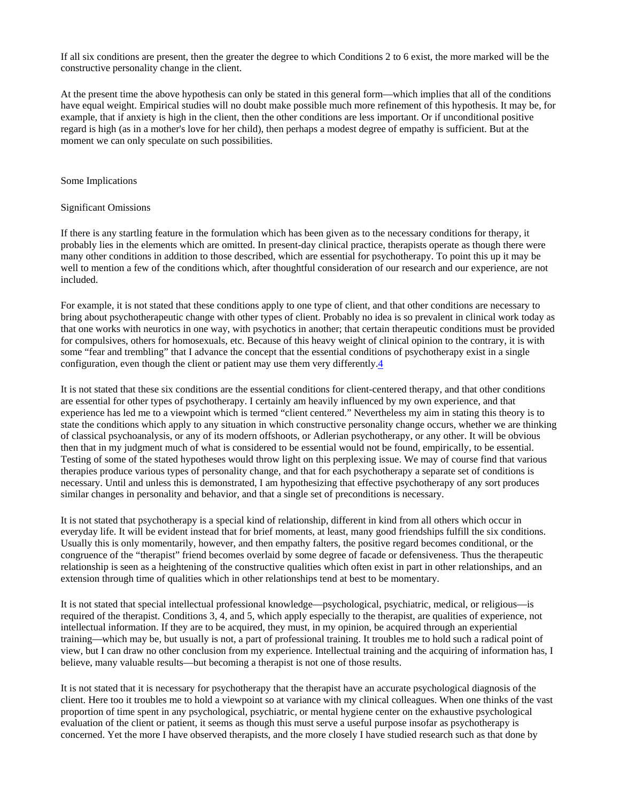If all six conditions are present, then the greater the degree to which Conditions 2 to 6 exist, the more marked will be the constructive personality change in the client.

At the present time the above hypothesis can only be stated in this general form—which implies that all of the conditions have equal weight. Empirical studies will no doubt make possible much more refinement of this hypothesis. It may be, for example, that if anxiety is high in the client, then the other conditions are less important. Or if unconditional positive regard is high (as in a mother's love for her child), then perhaps a modest degree of empathy is sufficient. But at the moment we can only speculate on such possibilities.

#### Some Implication[s](http://gateway.ut.ovid.com.offcampus.lib.washington.edu/gw1/ovidweb.cgi)

#### Significant Omission[s](http://gateway.ut.ovid.com.offcampus.lib.washington.edu/gw1/ovidweb.cgi)

If there is any startling feature in the formulation which has been given as to the necessary conditions for therapy, it probably lies in the elements which are omitted. In present-day clinical practice, therapists operate as though there were many other conditions in addition to those described, which are essential for psychotherapy. To point this up it may be well to mention a few of the conditions which, after thoughtful consideration of our research and our experience, are not included.

For example, it is not stated that these conditions apply to one type of client, and that other conditions are necessary to bring about psychotherapeutic change with other types of client. Probably no idea is so prevalent in clinical work today as that one works with neurotics in one way, with psychotics in another; that certain therapeutic conditions must be provided for compulsives, others for homosexuals, etc. Because of this heavy weight of clinical opinion to the contrary, it is with some "fear and trembling" that I advance the concept that the essential conditions of psychotherapy exist in a single configuration, even though the client or patient may use them very differently.[4](http://gateway.ut.ovid.com.offcampus.lib.washington.edu/gw1/ovidweb.cgi#101)

It is not stated that these six conditions are the essential conditions for client-centered therapy, and that other conditions are essential for other types of psychotherapy. I certainly am heavily influenced by my own experience, and that experience has led me to a viewpoint which is termed "client centered." Nevertheless my aim in stating this theory is to state the conditions which apply to any situation in which constructive personality change occurs, whether we are thinking of classical psychoanalysis, or any of its modern offshoots, or Adlerian psychotherapy, or any other. It will be obvious then that in my judgment much of what is considered to be essential would not be found, empirically, to be essential. Testing of some of the stated hypotheses would throw light on this perplexing issue. We may of course find that various therapies produce various types of personality change, and that for each psychotherapy a separate set of conditions is necessary. Until and unless this is demonstrated, I am hypothesizing that effective psychotherapy of any sort produces similar changes in personality and behavior, and that a single set of preconditions is necessary.

It is not stated that psychotherapy is a special kind of relationship, different in kind from all others which occur in everyday life. It will be evident instead that for brief moments, at least, many good friendships fulfill the six conditions. Usually this is only momentarily, however, and then empathy falters, the positive regard becomes conditional, or the congruence of the "therapist" friend becomes overlaid by some degree of facade or defensiveness. Thus the therapeutic relationship is seen as a heightening of the constructive qualities which often exist in part in other relationships, and an extension through time of qualities which in other relationships tend at best to be momentary.

It is not stated that special intellectual professional knowledge—psychological, psychiatric, medical, or religious—is required of the therapist. Conditions 3, 4, and 5, which apply especially to the therapist, are qualities of experience, not intellectual information. If they are to be acquired, they must, in my opinion, be acquired through an experiential training—which may be, but usually is not, a part of professional training. It troubles me to hold such a radical point of view, but I can draw no other conclusion from my experience. Intellectual training and the acquiring of information has, I believe, many valuable results—but becoming a therapist is not one of those results.

It is not stated that it is necessary for psychotherapy that the therapist have an accurate psychological diagnosis of the client. Here too it troubles me to hold a viewpoint so at variance with my clinical colleagues. When one thinks of the vast proportion of time spent in any psychological, psychiatric, or mental hygiene center on the exhaustive psychological evaluation of the client or patient, it seems as though this must serve a useful purpose insofar as psychotherapy is concerned. Yet the more I have observed therapists, and the more closely I have studied research such as that done by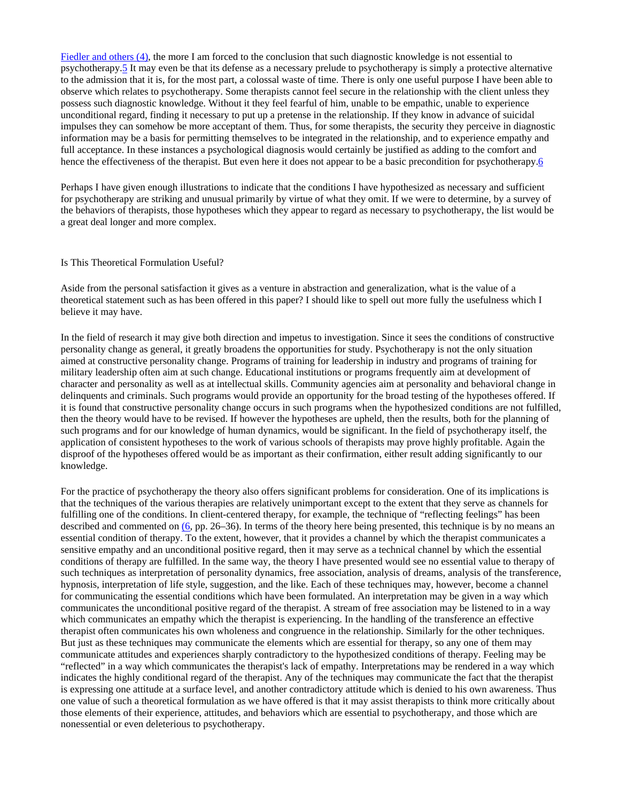[Fiedler and others \(4\)](http://gateway.ut.ovid.com.offcampus.lib.washington.edu/gw1/ovidweb.cgi#93), the more I am forced to the conclusion that such diagnostic knowledge is not essential to psychotherapy.[5](http://gateway.ut.ovid.com.offcampus.lib.washington.edu/gw1/ovidweb.cgi#102) It may even be that its defense as a necessary prelude to psychotherapy is simply a protective alternative to the admission that it is, for the most part, a colossal waste of time. There is only one useful purpose I have been able to observe which relates to psychotherapy. Some therapists cannot feel secure in the relationship with the client unless they possess such diagnostic knowledge. Without it they feel fearful of him, unable to be empathic, unable to experience unconditional regard, finding it necessary to put up a pretense in the relationship. If they know in advance of suicidal impulses they can somehow be more acceptant of them. Thus, for some therapists, the security they perceive in diagnostic information may be a basis for permitting themselves to be integrated in the relationship, and to experience empathy and full acceptance. In these instances a psychological diagnosis would certainly be justified as adding to the comfort and hence the effectiveness of the therapist. But even here it does not appear to be a basic precondition for psychotherapy.<sup>[6](http://gateway.ut.ovid.com.offcampus.lib.washington.edu/gw1/ovidweb.cgi#103)</sup>

Perhaps I have given enough illustrations to indicate that the conditions I have hypothesized as necessary and sufficient for psychotherapy are striking and unusual primarily by virtue of what they omit. If we were to determine, by a survey of the behaviors of therapists, those hypotheses which they appear to regard as necessary to psychotherapy, the list would be a great deal longer and more complex.

#### Is This Theoretical Formulation Useful[?](http://gateway.ut.ovid.com.offcampus.lib.washington.edu/gw1/ovidweb.cgi)

Aside from the personal satisfaction it gives as a venture in abstraction and generalization, what is the value of a theoretical statement such as has been offered in this paper? I should like to spell out more fully the usefulness which I believe it may have.

In the field of research it may give both direction and impetus to investigation. Since it sees the conditions of constructive personality change as general, it greatly broadens the opportunities for study. Psychotherapy is not the only situation aimed at constructive personality change. Programs of training for leadership in industry and programs of training for military leadership often aim at such change. Educational institutions or programs frequently aim at development of character and personality as well as at intellectual skills. Community agencies aim at personality and behavioral change in delinquents and criminals. Such programs would provide an opportunity for the broad testing of the hypotheses offered. If it is found that constructive personality change occurs in such programs when the hypothesized conditions are not fulfilled, then the theory would have to be revised. If however the hypotheses are upheld, then the results, both for the planning of such programs and for our knowledge of human dynamics, would be significant. In the field of psychotherapy itself, the application of consistent hypotheses to the work of various schools of therapists may prove highly profitable. Again the disproof of the hypotheses offered would be as important as their confirmation, either result adding significantly to our knowledge.

For the practice of psychotherapy the theory also offers significant problems for consideration. One of its implications is that the techniques of the various therapies are relatively unimportant except to the extent that they serve as channels for fulfilling one of the conditions. In client-centered therapy, for example, the technique of "reflecting feelings" has been described and commented on [\(6,](http://gateway.ut.ovid.com.offcampus.lib.washington.edu/gw1/ovidweb.cgi#95) pp. 26–36). In terms of the theory here being presented, this technique is by no means an essential condition of therapy. To the extent, however, that it provides a channel by which the therapist communicates a sensitive empathy and an unconditional positive regard, then it may serve as a technical channel by which the essential conditions of therapy are fulfilled. In the same way, the theory I have presented would see no essential value to therapy of such techniques as interpretation of personality dynamics, free association, analysis of dreams, analysis of the transference, hypnosis, interpretation of life style, suggestion, and the like. Each of these techniques may, however, become a channel for communicating the essential conditions which have been formulated. An interpretation may be given in a way which communicates the unconditional positive regard of the therapist. A stream of free association may be listened to in a way which communicates an empathy which the therapist is experiencing. In the handling of the transference an effective therapist often communicates his own wholeness and congruence in the relationship. Similarly for the other techniques. But just as these techniques may communicate the elements which are essential for therapy, so any one of them may communicate attitudes and experiences sharply contradictory to the hypothesized conditions of therapy. Feeling may be "reflected" in a way which communicates the therapist's lack of empathy. Interpretations may be rendered in a way which indicates the highly conditional regard of the therapist. Any of the techniques may communicate the fact that the therapist is expressing one attitude at a surface level, and another contradictory attitude which is denied to his own awareness. Thus one value of such a theoretical formulation as we have offered is that it may assist therapists to think more critically about those elements of their experience, attitudes, and behaviors which are essential to psychotherapy, and those which are nonessential or even deleterious to psychotherapy.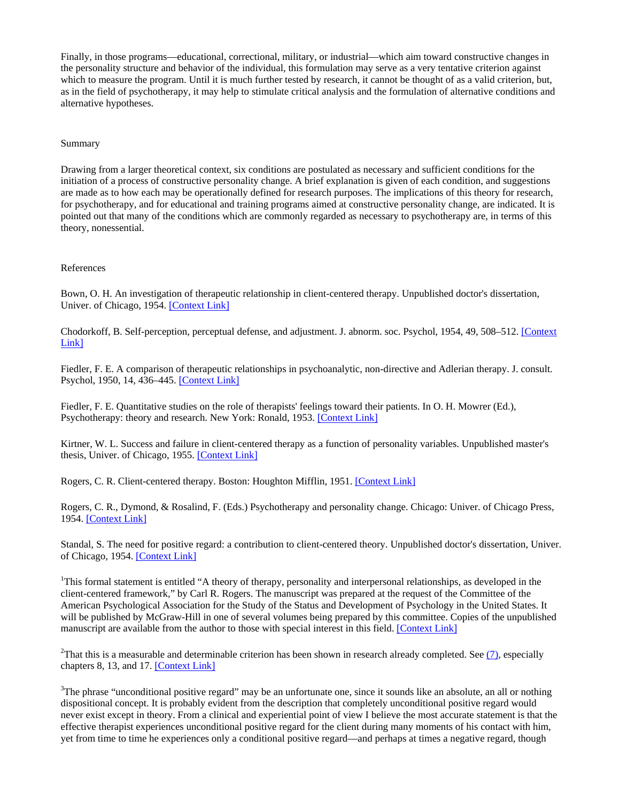Finally, in those programs—educational, correctional, military, or industrial—which aim toward constructive changes in the personality structure and behavior of the individual, this formulation may serve as a very tentative criterion against which to measure the program. Until it is much further tested by research, it cannot be thought of as a valid criterion, but, as in the field of psychotherapy, it may help to stimulate critical analysis and the formulation of alternative conditions and alternative hypotheses.

#### Summar[y](http://gateway.ut.ovid.com.offcampus.lib.washington.edu/gw1/ovidweb.cgi)

Drawing from a larger theoretical context, six conditions are postulated as necessary and sufficient conditions for the initiation of a process of constructive personality change. A brief explanation is given of each condition, and suggestions are made as to how each may be operationally defined for research purposes. The implications of this theory for research, for psychotherapy, and for educational and training programs aimed at constructive personality change, are indicated. It is pointed out that many of the conditions which are commonly regarded as necessary to psychotherapy are, in terms of this theory, nonessential.

## Reference[s](http://gateway.ut.ovid.com.offcampus.lib.washington.edu/gw1/ovidweb.cgi)

Bown, O. H. An investigation of therapeutic relationship in client-centered therapy. Unpublished doctor's dissertation, Univer. of Chicago, 1954. [\[Context Link\]](http://gateway.ut.ovid.com.offcampus.lib.washington.edu/gw1/ovidweb.cgi#44)

Chodorkoff, B. Self-perception, perceptual defense, and adjustment. J. abnorm. soc. Psychol, 1954, 49, 508–512. [\[Context](http://gateway.ut.ovid.com.offcampus.lib.washington.edu/gw1/ovidweb.cgi#38)  [Link\]](http://gateway.ut.ovid.com.offcampus.lib.washington.edu/gw1/ovidweb.cgi#38)

Fiedler, F. E. A comparison of therapeutic relationships in psychoanalytic, non-directive and Adlerian therapy. J. consult. Psychol, 1950, 14, 436–445. [\[Context Link\]](http://gateway.ut.ovid.com.offcampus.lib.washington.edu/gw1/ovidweb.cgi#44)

Fiedler, F. E. Quantitative studies on the role of therapists' feelings toward their patients. In O. H. Mowrer (Ed.), Psychotherapy: theory and research. New York: Ronald, 1953. [\[Context Link\]](http://gateway.ut.ovid.com.offcampus.lib.washington.edu/gw1/ovidweb.cgi#44)

Kirtner, W. L. Success and failure in client-centered therapy as a function of personality variables. Unpublished master's thesis, Univer. of Chicago, 1955. [\[Context Link\]](http://gateway.ut.ovid.com.offcampus.lib.washington.edu/gw1/ovidweb.cgi#101)

Rogers, C. R. Client-centered therapy. Boston: Houghton Mifflin, 1951. [\[Context Link\]](http://gateway.ut.ovid.com.offcampus.lib.washington.edu/gw1/ovidweb.cgi#85)

Rogers, C. R., Dymond, & Rosalind, F. (Eds.) Psychotherapy and personality change. Chicago: Univer. of Chicago Press, 1954. [\[Context Link\]](http://gateway.ut.ovid.com.offcampus.lib.washington.edu/gw1/ovidweb.cgi#99)

Standal, S. The need for positive regard: a contribution to client-centered theory. Unpublished doctor's dissertation, Univer. of Chicago, 1954. [\[Context Link\]](http://gateway.ut.ovid.com.offcampus.lib.washington.edu/gw1/ovidweb.cgi#46)

<sup>1</sup>This formal statement is entitled "A theory of therapy, personality and interpersonal relationships, as developed in the client-centered framework," by Carl R. Rogers. The manuscript was prepared at the request of the Committee of the American Psychological Association for the Study of the Status and Development of Psychology in the United States. It will be published by McGraw-Hill in one of several volumes being prepared by this committee. Copies of the unpublished manuscript are available from the author to those with special interest in this field. [\[Context Link\]](http://gateway.ut.ovid.com.offcampus.lib.washington.edu/gw1/ovidweb.cgi#11)

<sup>2</sup>That this is a measurable and determinable criterion has been shown in research already completed. See  $(7)$ , especially chapters 8, 13, and 17. [\[Context Link\]](http://gateway.ut.ovid.com.offcampus.lib.washington.edu/gw1/ovidweb.cgi#14)

 $3$ The phrase "unconditional positive regard" may be an unfortunate one, since it sounds like an absolute, an all or nothing dispositional concept. It is probably evident from the description that completely unconditional positive regard would never exist except in theory. From a clinical and experiential point of view I believe the most accurate statement is that the effective therapist experiences unconditional positive regard for the client during many moments of his contact with him, yet from time to time he experiences only a conditional positive regard—and perhaps at times a negative regard, though